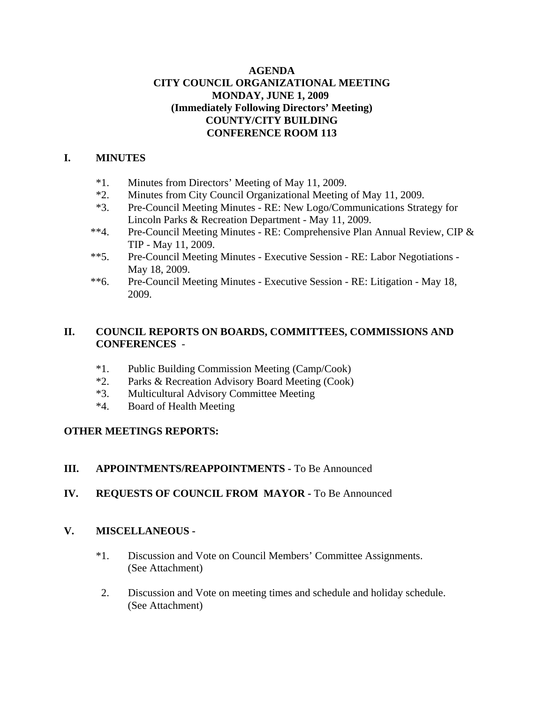#### **AGENDA CITY COUNCIL ORGANIZATIONAL MEETING MONDAY, JUNE 1, 2009 (Immediately Following Directors' Meeting) COUNTY/CITY BUILDING CONFERENCE ROOM 113**

#### **I. MINUTES**

- \*1. Minutes from Directors' Meeting of May 11, 2009.
- \*2. Minutes from City Council Organizational Meeting of May 11, 2009.
- \*3. Pre-Council Meeting Minutes RE: New Logo/Communications Strategy for Lincoln Parks & Recreation Department - May 11, 2009.
- \*\*4. Pre-Council Meeting Minutes RE: Comprehensive Plan Annual Review, CIP & TIP - May 11, 2009.
- \*\*5. Pre-Council Meeting Minutes Executive Session RE: Labor Negotiations May 18, 2009.
- \*\*6. Pre-Council Meeting Minutes Executive Session RE: Litigation May 18, 2009.

### **II. COUNCIL REPORTS ON BOARDS, COMMITTEES, COMMISSIONS AND CONFERENCES** -

- \*1. Public Building Commission Meeting (Camp/Cook)
- \*2. Parks & Recreation Advisory Board Meeting (Cook)
- \*3. Multicultural Advisory Committee Meeting
- \*4. Board of Health Meeting

### **OTHER MEETINGS REPORTS:**

### **III. APPOINTMENTS/REAPPOINTMENTS -** To Be Announced

# **IV. REQUESTS OF COUNCIL FROM MAYOR -** To Be Announced

### **V. MISCELLANEOUS -**

- \*1. Discussion and Vote on Council Members' Committee Assignments. (See Attachment)
- 2. Discussion and Vote on meeting times and schedule and holiday schedule. (See Attachment)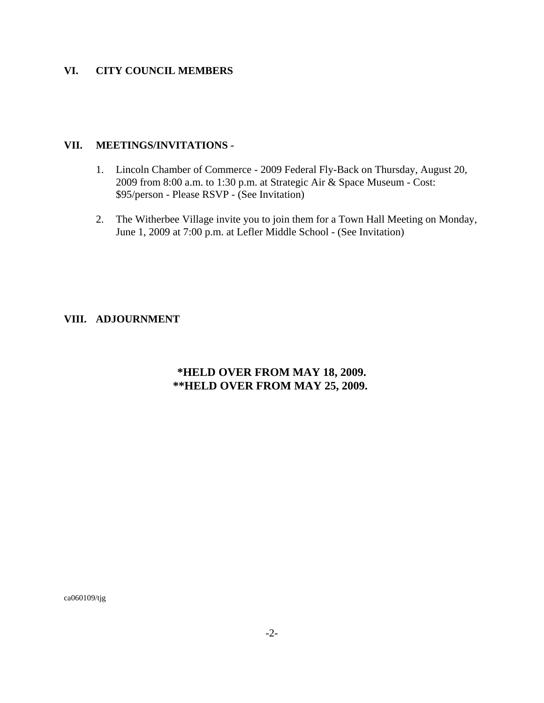#### **VI. CITY COUNCIL MEMBERS**

#### **VII. MEETINGS/INVITATIONS -**

- 1. Lincoln Chamber of Commerce 2009 Federal Fly-Back on Thursday, August 20, 2009 from 8:00 a.m. to 1:30 p.m. at Strategic Air & Space Museum - Cost: \$95/person - Please RSVP - (See Invitation)
- 2. The Witherbee Village invite you to join them for a Town Hall Meeting on Monday, June 1, 2009 at 7:00 p.m. at Lefler Middle School - (See Invitation)

#### **VIII. ADJOURNMENT**

# **\*HELD OVER FROM MAY 18, 2009. \*\*HELD OVER FROM MAY 25, 2009.**

ca060109/tjg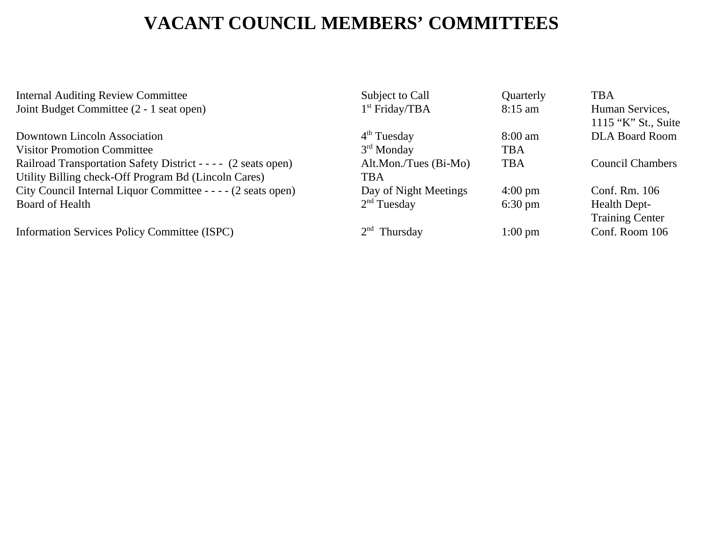# **VACANT COUNCIL MEMBERS' COMMITTEES**

Internal Auditing Review Committee Subject to Call Quarterly TBA Joint Budget Committee (2 - 1 seat open) 1<sup>st</sup> Friday/TBA 8:15 am Human Services, 1115 "K" St., Suite Downtown Lincoln Association  $4<sup>th</sup> Tuesday$  8:00 am DLA Board Room Visitor Promotion Committee 3<sup>rd</sup> Monday TBA Railroad Transportation Safety District - - - (2 seats open) Alt.Mon./Tues (Bi-Mo) TBA Council Chambers Utility Billing check-Off Program Bd (Lincoln Cares) TBA City Council Internal Liquor Committee - - - (2 seats open) Day of Night Meetings 4:00 pm Conf. Rm. 106 Board of Health **2<sup>nd</sup>** Tuesday 6:30 pm Health Dept-Training Center Information Services Policy Committee (ISPC) 2<sup>nd</sup> Thursday 1:00 pm Conf. Room 106